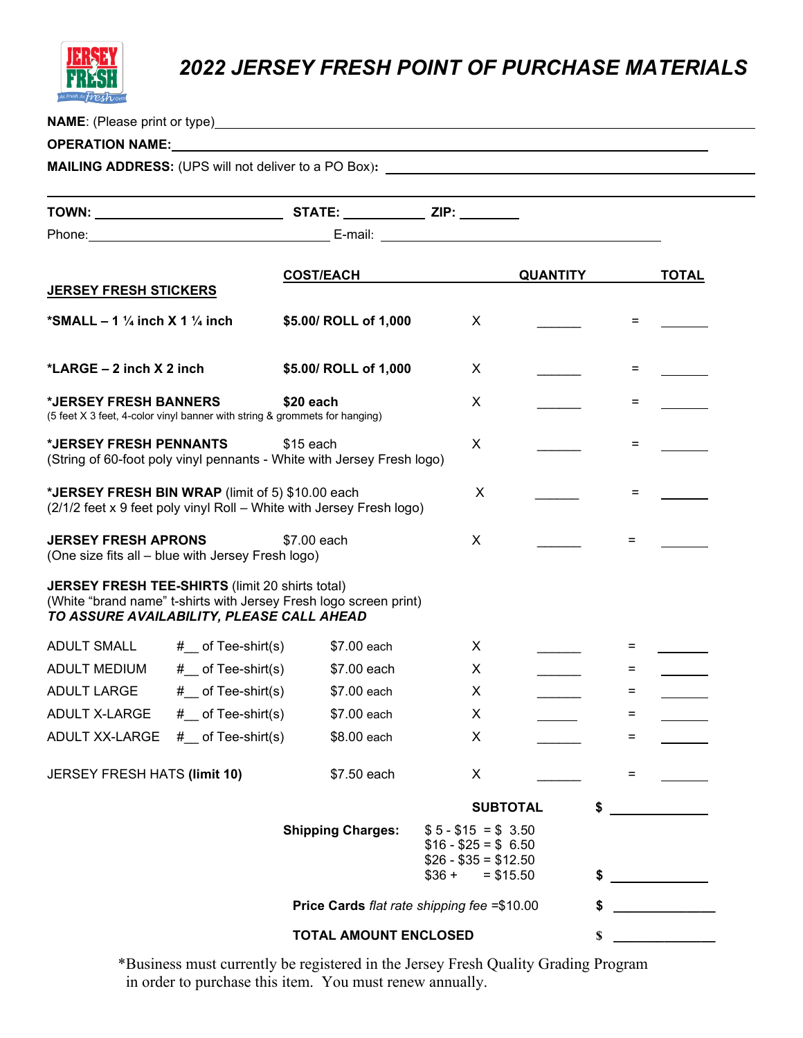

## *2022 JERSEY FRESH POINT OF PURCHASE MATERIALS*

**NAME**: (Please print or type)

#### **OPERATION NAME:**

**MAILING ADDRESS:** (UPS will not deliver to a PO Box)**:** 

|                                                                                                     |                     | <b>COST/EACH</b>                                                     |                                                                               | <b>QUANTITY</b> |     | <b>TOTAL</b>             |
|-----------------------------------------------------------------------------------------------------|---------------------|----------------------------------------------------------------------|-------------------------------------------------------------------------------|-----------------|-----|--------------------------|
| <b>JERSEY FRESH STICKERS</b>                                                                        |                     |                                                                      |                                                                               |                 |     |                          |
| *SMALL $-1\frac{1}{4}$ inch X 1 $\frac{1}{4}$ inch                                                  |                     | \$5.00/ ROLL of 1,000                                                | X                                                                             |                 | $=$ |                          |
| *LARGE $-2$ inch $X$ 2 inch                                                                         |                     | \$5.00/ ROLL of 1,000                                                | X                                                                             |                 | $=$ |                          |
| *JERSEY FRESH BANNERS<br>(5 feet X 3 feet, 4-color vinyl banner with string & grommets for hanging) |                     | \$20 each                                                            | X                                                                             |                 | $=$ |                          |
| *JERSEY FRESH PENNANTS<br>(String of 60-foot poly vinyl pennants - White with Jersey Fresh logo)    |                     | $$15$ each                                                           | X                                                                             |                 | $=$ |                          |
| *JERSEY FRESH BIN WRAP (limit of 5) \$10.00 each                                                    |                     | (2/1/2 feet x 9 feet poly vinyl Roll - White with Jersey Fresh logo) | X                                                                             |                 | $=$ |                          |
| <b>JERSEY FRESH APRONS</b><br>(One size fits all - blue with Jersey Fresh logo)                     |                     | \$7.00 each                                                          | X                                                                             |                 | $=$ |                          |
| <b>JERSEY FRESH TEE-SHIRTS (limit 20 shirts total)</b><br>TO ASSURE AVAILABILITY, PLEASE CALL AHEAD |                     | (White "brand name" t-shirts with Jersey Fresh logo screen print)    |                                                                               |                 |     |                          |
| <b>ADULT SMALL</b>                                                                                  | $#$ of Tee-shirt(s) | \$7.00 each                                                          | X                                                                             |                 | $=$ |                          |
| ADULT MEDIUM                                                                                        | $#$ of Tee-shirt(s) | \$7.00 each                                                          | X                                                                             |                 | $=$ |                          |
| <b>ADULT LARGE</b>                                                                                  | $#$ of Tee-shirt(s) | \$7.00 each                                                          | X                                                                             |                 | $=$ | $\overline{\phantom{a}}$ |
| ADULT X-LARGE                                                                                       | $#$ of Tee-shirt(s) | \$7.00 each                                                          | X                                                                             |                 | $=$ |                          |
| ADULT XX-LARGE                                                                                      | $#$ of Tee-shirt(s) | \$8.00 each                                                          | X                                                                             |                 | $=$ |                          |
| JERSEY FRESH HATS (limit 10)                                                                        |                     | \$7.50 each                                                          | X                                                                             |                 | $=$ |                          |
|                                                                                                     |                     |                                                                      |                                                                               | <b>SUBTOTAL</b> | \$  |                          |
|                                                                                                     |                     | <b>Shipping Charges:</b>                                             | $$5 - $15 = $3.50$<br>$$16 - $25 = $ 6.50$<br>$$26 - $35 = $12.50$<br>$$36 +$ | $= $15.50$      |     |                          |
|                                                                                                     |                     | Price Cards flat rate shipping fee =\$10.00                          |                                                                               |                 | \$  |                          |
|                                                                                                     |                     |                                                                      |                                                                               |                 |     |                          |
|                                                                                                     |                     | <b>TOTAL AMOUNT ENCLOSED</b>                                         |                                                                               |                 | \$  |                          |

\*Business must currently be registered in the Jersey Fresh Quality Grading Program in order to purchase this item. You must renew annually.